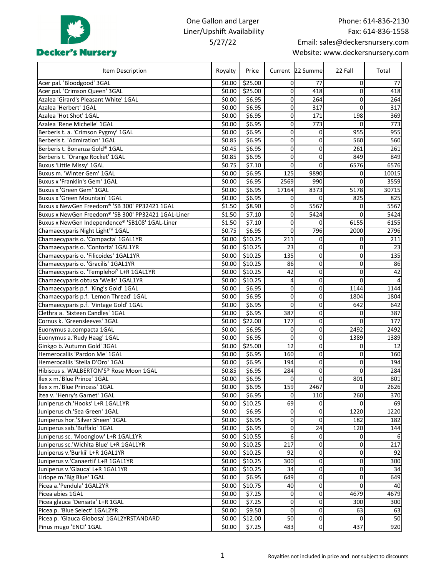

## One Gallon and Larger Liner/Upshift Availability 5/27/22

| Item Description                                    | Royalty | Price               |                | Current 22 Summer       | 22 Fall        | Total            |
|-----------------------------------------------------|---------|---------------------|----------------|-------------------------|----------------|------------------|
| Acer pal. 'Bloodgood' 3GAL                          | \$0.00  | \$25.00             | 0              | 77                      | 0              | 77               |
| Acer pal. 'Crimson Queen' 3GAL                      | \$0.00  | \$25.00             | 0              | 418                     | $\overline{0}$ | 418              |
| Azalea 'Girard's Pleasant White' 1GAL               | \$0.00  | \$6.95              | 0              | 264                     | $\mathbf{0}$   | 264              |
| Azalea 'Herbert' 1GAL                               | \$0.00  | \$6.95              | 0              | 317                     | $\mathbf{0}$   | 317              |
| Azalea 'Hot Shot' 1GAL                              | \$0.00  | \$6.95              | 0              | 171                     | 198            | 369              |
| Azalea 'Rene Michelle' 1GAL                         | \$0.00  | \$6.95              | 0              | 773                     | 0              | 773              |
| Berberis t. a. 'Crimson Pygmy' 1GAL                 | \$0.00  | \$6.95              | 0              | 0                       | 955            | 955              |
| Berberis t. 'Admiration' 1GAL                       | \$0.85  | \$6.95              | 0              | 0                       | 560            | 560              |
| Berberis t. Bonanza Gold® 1GAL                      | \$0.45  | \$6.95              | 0              | 0                       | 261            | 261              |
| Berberis t. 'Orange Rocket' 1GAL                    | \$0.85  | \$6.95              | 0              | 0                       | 849            | 849              |
| <b>Buxus 'Little Missy' 1GAL</b>                    | \$0.75  | $\overline{$}7.10$  | 0              | 0                       | 6576           | 6576             |
| Buxus m. 'Winter Gem' 1GAL                          | \$0.00  | \$6.95              | 125            | 9890                    | $\overline{0}$ | 10015            |
| Buxus x 'Franklin's Gem' 1GAL                       | \$0.00  | \$6.95              | 2569           | 990                     | $\Omega$       | 3559             |
| Buxus x 'Green Gem' 1GAL                            | \$0.00  | \$6.95              | 17164          | 8373                    | 5178           | 30715            |
| <b>Buxus x 'Green Mountain' 1GAL</b>                | \$0.00  | \$6.95              | 0              | $\Omega$                | 825            | 825              |
| Buxus x NewGen Freedom® 'SB 300' PP32421 1GAL       | \$1.50  | \$8.90              | 0              | 5567                    | $\Omega$       | 5567             |
| Buxus x NewGen Freedom® 'SB 300' PP32421 1GAL-Liner | \$1.50  | \$7.10              | 0              | 5424                    | 0              | 5424             |
| Buxus x NewGen Independence® 'SB108' 1GAL-Liner     | \$1.50  | \$7.10              | 0              | 0                       | 6155           | 6155             |
| Chamaecyparis Night Light™ 1GAL                     | \$0.75  | \$6.95              | 0              | 796                     | 2000           | 2796             |
| Chamaecyparis o. 'Compacta' 1GAL1YR                 | \$0.00  | 510.25              | 211            | 0                       | $\overline{0}$ | 211              |
| Chamaecyparis o. 'Contorta' 1GAL1YR                 | \$0.00  | \$10.25             | 23             | 0                       | 0              | 23               |
| Chamaecyparis o. 'Filicoides' 1GAL1YR               | \$0.00  | \$10.25             | 135            | $\pmb{0}$               | 0              | 135              |
| Chamaecyparis o. Gracilis' 1GAL1YR                  | \$0.00  | \$10.25             | 86             | $\pmb{0}$               | 0              | 86               |
| Chamaecyparis o. 'Templehof' L+R 1GAL1YR            | \$0.00  | \$10.25             | 42             | 0                       | 0              | 42               |
| Chamaecyparis obtusa 'Wells' 1GAL1YR                | \$0.00  | \$10.25             | 4              | 0                       | 0              | 4                |
| Chamaecyparis p.f. 'King's Gold' 1GAL               | \$0.00  | \$6.95              | 0              | 0                       | 1144           | 1144             |
| Chamaecyparis p.f. 'Lemon Thread' 1GAL              | \$0.00  | \$6.95              | 0              | 0                       | 1804           | 1804             |
| Chamaecyparis p.f. 'Vintage Gold' 1GAL              | \$0.00  | \$6.95              | 0              | 0                       | 642            | 642              |
| Clethra a. 'Sixteen Candles' 1GAL                   | \$0.00  | \$6.95              | 387            | 0                       | 0              | 387              |
| Cornus k. 'Greensleeves' 3GAL                       | \$0.00  | \$22.00             | 177            | 0                       | $\Omega$       | 177              |
| Euonymus a.compacta 1GAL                            | \$0.00  | \$6.95              | 0              | 0                       | 2492           | 2492             |
| Euonymus a.'Rudy Haag' 1GAL                         | \$0.00  | \$6.95              | 0              | 0                       | 1389           | 1389             |
| Ginkgo b.'Autumn Gold' 3GAL                         | \$0.00  | \$25.00             | 12             | 0                       | 0              | 12               |
| Hemerocallis 'Pardon Me' 1GAL                       | \$0.00  | \$6.95              | 160            | 0                       | 0              | 160              |
| Hemerocallis 'Stella D'Oro' 1GAL                    | \$0.00  | \$6.95              | 194            | 0                       | 0              | 194              |
| Hibiscus s. WALBERTON'S® Rose Moon 1GAL             | \$0.85  | \$6.95              | 284            | $\overline{0}$          | o              | 284              |
| Ilex x m.'Blue Prince' 1GAL                         | \$0.00  | $\overline{$}6.95$  | 0              | $\mathbf 0$             | 801            | 801              |
| Ilex x m.'Blue Princess' 1GAL                       | \$0.00  | \$6.95              | 159            | 2467                    | $\pmb{0}$      | 2626             |
| Itea v. 'Henry's Garnet' 1GAL                       | \$0.00  | \$6.95              | 0              | 110                     | 260            | 370              |
| Juniperus ch.'Hooks' L+R 1GAL1YR                    | \$0.00  | \$10.25             | 69             | $\overline{0}$          | $\Omega$       | 69               |
| Juniperus ch.'Sea Green' 1GAL                       | \$0.00  | \$6.95              | $\overline{0}$ | $\pmb{0}$               | 1220           | 1220             |
| Juniperus hor.'Silver Sheen' 1GAL                   | \$0.00  | \$6.95              | 0              | 0                       | 182            | 182              |
| Juniperus sab.'Buffalo' 1GAL                        | \$0.00  | \$6.95              | 0              | 24                      | 120            | 144              |
| Juniperus sc. 'Moonglow' L+R 1GAL1YR                | \$0.00  | \$10.55             | 6 <sup>1</sup> | $\mathbf 0$             | $\mathbf 0$    | 6                |
| Juniperus sc.'Wichita Blue' L+R 1GAL1YR             | \$0.00  | $\overline{$}10.25$ | 217            | $\pmb{0}$               | $\overline{0}$ | 217              |
| Juniperus v.'Burkii' L+R 1GAL1YR                    | \$0.00  | \$10.25             | 92             | $\overline{\mathsf{o}}$ | $\mathbf 0$    | 92               |
| Juniperus v.'Canaertii' L+R 1GAL1YR                 | \$0.00  | \$10.25             | 300            | $\overline{0}$          | 0              | $\overline{300}$ |
| Juniperus v.'Glauca' L+R 1GAL1YR                    | \$0.00  | \$10.25             | 34             | $\pmb{0}$               | $\mathbf 0$    | 34               |
| Liriope m.'Big Blue' 1GAL                           | \$0.00  | \$6.95              | 649            | $\pmb{0}$               | 0              | 649              |
| Picea a.'Pendula' 1GAL2YR                           | \$0.00  | \$10.75             | 40             | 0                       | $\overline{0}$ | 40               |
| Picea abies 1GAL                                    | \$0.00  | \$7.25              | 0              | 0                       | 4679           | 4679             |
| Picea glauca 'Densata' L+R 1GAL                     | \$0.00  | \$7.25              | $\overline{0}$ | $\mathbf 0$             | 300            | 300              |
| Picea p. 'Blue Select' 1GAL2YR                      | \$0.00  | \$9.50              | $\overline{0}$ | $\overline{0}$          | 63             | 63               |
| Picea p. 'Glauca Globosa' 1GAL2YRSTANDARD           | \$0.00  | \$12.00             | 50             | $\overline{0}$          | $\overline{0}$ | 50               |
| Pinus mugo 'ENCI' 1GAL                              | \$0.00  | \$7.25              | 483            | $\mathsf{o}$            | 437            | 920              |